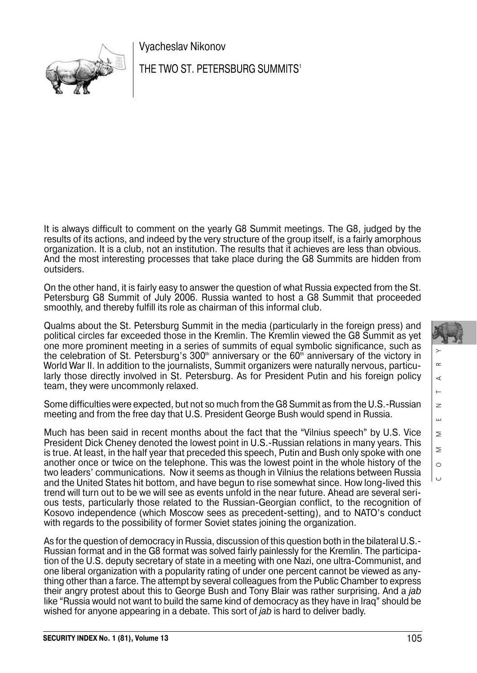

Vyacheslav Nikonov

THE TWO ST. PETERSBURG SUMMITS<sup>1</sup>

It is always difficult to comment on the yearly G8 Summit meetings. The G8, judged by the results of its actions, and indeed by the very structure of the group itself, is a fairly amorphous organization. It is a club, not an institution. The results that it achieves are less than obvious. And the most interesting processes that take place during the G8 Summits are hidden from outsiders.

On the other hand, it is fairly easy to answer the question of what Russia expected from the St. Petersburg G8 Summit of July 2006. Russia wanted to host a G8 Summit that proceeded smoothly, and thereby fulfill its role as chairman of this informal club.

Qualms about the St. Petersburg Summit in the media (particularly in the foreign press) and political circles far exceeded those in the Kremlin. The Kremlin viewed the G8 Summit as yet one more prominent meeting in a series of summits of equal symbolic significance, such as the celebration of St. Petersburg's 300<sup>th</sup> anniversary or the 60<sup>th</sup> anniversary of the victory in World War II. In addition to the journalists, Summit organizers were naturally nervous, particu larly those directly involved in St. Petersburg. As for President Putin and his foreign policy team, they were uncommonly relaxed.

Some difficulties were expected, but not so much from the G8 Summit as from the U.S.-Russian meeting and from the free day that U.S. President George Bush would spend in Russia.

Much has been said in recent months about the fact that the "Vilnius speech" by U.S. Vice President Dick Cheney denoted the lowest point in U.S.-Russian relations in many years. This is true. At least, in the half year that preceded this speech, Putin and Bush only spoke with one another once or twice on the telephone. This was the lowest point in the whole history of the two leaders' communications. Now it seems as though in Vilnius the relations between Russia and the United States hit bottom, and have begun to rise somewhat since. How long-lived this trend will turn out to be we will see as events unfold in the near future. Ahead are several seri ous tests, particularly those related to the Russian-Georgian conflict, to the recognition of Kosovo independence (which Moscow sees as precedent-setting), and to NATO's conduct with regards to the possibility of former Soviet states joining the organization.

As for the question of democracy in Russia, discussion of this question both in the bilateral U.S.- Russian format and in the G8 format was solved fairly painlessly for the Kremlin. The participa tion of the U.S. deputy secretary of state in a meeting with one Nazi, one ultra-Communist, and one liberal organization with a popularity rating of under one percent cannot be viewed as any thing other than a farce. The attempt by several colleagues from the Public Chamber to express their angry protest about this to George Bush and Tony Blair was rather surprising. And a jab like "Russia would not want to build the same kind of democracy as they have in Iraq" should be wished for anyone appearing in a debate. This sort of *jab* is hard to deliver badly.

Ш  $\geq$  $\geq$  $\circ$